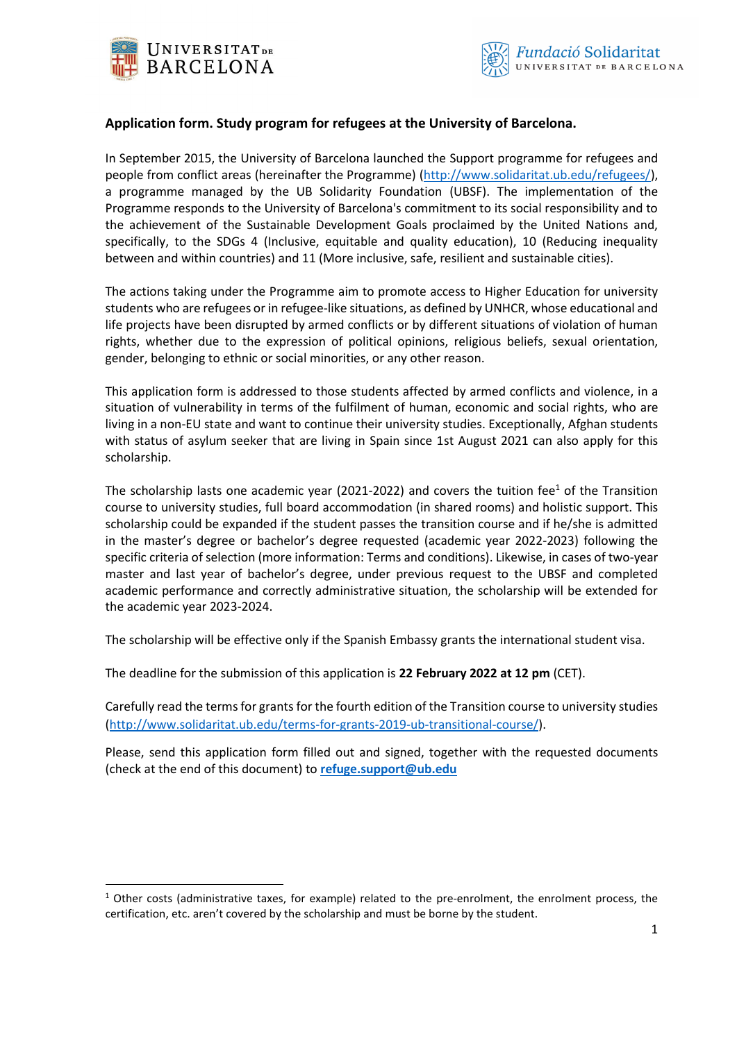

# **Application form. Study program for refugees at the University of Barcelona.**

In September 2015, the University of Barcelona launched the Support programme for refugees and people from conflict areas (hereinafter the Programme) [\(http://www.solidaritat.ub.edu/refugees/\)](http://www.solidaritat.ub.edu/refugees/), a programme managed by the UB Solidarity Foundation (UBSF). The implementation of the Programme responds to the University of Barcelona's commitment to its social responsibility and to the achievement of the Sustainable Development Goals proclaimed by the United Nations and, specifically, to the SDGs 4 (Inclusive, equitable and quality education), 10 (Reducing inequality between and within countries) and 11 (More inclusive, safe, resilient and sustainable cities).

The actions taking under the Programme aim to promote access to Higher Education for university students who are refugees or in refugee-like situations, as defined by UNHCR, whose educational and life projects have been disrupted by armed conflicts or by different situations of violation of human rights, whether due to the expression of political opinions, religious beliefs, sexual orientation, gender, belonging to ethnic or social minorities, or any other reason.

This application form is addressed to those students affected by armed conflicts and violence, in a situation of vulnerability in terms of the fulfilment of human, economic and social rights, who are living in a non-EU state and want to continue their university studies. Exceptionally, Afghan students with status of asylum seeker that are living in Spain since 1st August 2021 can also apply for this scholarship.

The scholarship lasts one academic year (2021-2022) and covers the tuition fee<sup>1</sup> of the Transition course to university studies, full board accommodation (in shared rooms) and holistic support. This scholarship could be expanded if the student passes the transition course and if he/she is admitted in the master's degree or bachelor's degree requested (academic year 2022-2023) following the specific criteria of selection (more information: Terms and conditions). Likewise, in cases of two-year master and last year of bachelor's degree, under previous request to the UBSF and completed academic performance and correctly administrative situation, the scholarship will be extended for the academic year 2023-2024.

The scholarship will be effective only if the Spanish Embassy grants the international student visa.

The deadline for the submission of this application is **22 February 2022 at 12 pm** (CET).

Carefully read the terms for grants for the fourth edition of the Transition course to university studies [\(http://www.solidaritat.ub.edu/terms-for-grants-2019-ub-transitional-course/\)](http://www.solidaritat.ub.edu/terms-for-grants-2019-ub-transitional-course/).

Please, send this application form filled out and signed, together with the requested documents (check at the end of this document) to **[refuge.support@ub.edu](mailto:refuge.support@ub.edu)**

 $1$  Other costs (administrative taxes, for example) related to the pre-enrolment, the enrolment process, the certification, etc. aren't covered by the scholarship and must be borne by the student.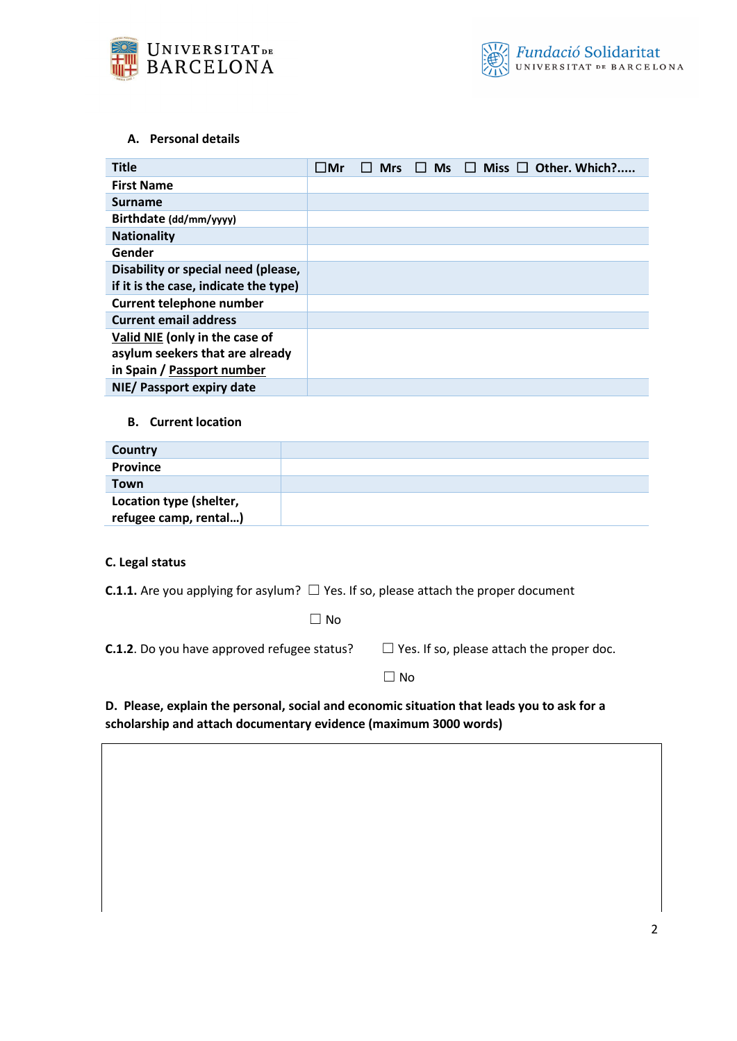

# **A. Personal details**

| <b>Title</b>                          | ⊟Mr | <b>Mrs</b> | Ms<br>. . | $\Box$ Miss $\Box$ Other. Which? |
|---------------------------------------|-----|------------|-----------|----------------------------------|
| <b>First Name</b>                     |     |            |           |                                  |
| <b>Surname</b>                        |     |            |           |                                  |
| Birthdate (dd/mm/yyyy)                |     |            |           |                                  |
| <b>Nationality</b>                    |     |            |           |                                  |
| Gender                                |     |            |           |                                  |
| Disability or special need (please,   |     |            |           |                                  |
| if it is the case, indicate the type) |     |            |           |                                  |
| <b>Current telephone number</b>       |     |            |           |                                  |
| <b>Current email address</b>          |     |            |           |                                  |
| Valid NIE (only in the case of        |     |            |           |                                  |
| asylum seekers that are already       |     |            |           |                                  |
| in Spain / Passport number            |     |            |           |                                  |
| NIE/ Passport expiry date             |     |            |           |                                  |

#### **B. Current location**

| Country                 |  |
|-------------------------|--|
| <b>Province</b>         |  |
| Town                    |  |
| Location type (shelter, |  |
| refugee camp, rental)   |  |

# **C. Legal status**

**C.1.1.** Are you applying for asylum? □ Yes. If so, please attach the proper document

☐ No

| <b>C.1.2</b> . Do you have approved refugee status? | $\Box$ Yes. If so, please attach the proper doc. |
|-----------------------------------------------------|--------------------------------------------------|
|-----------------------------------------------------|--------------------------------------------------|

 $\Box$  No

**D. Please, explain the personal, social and economic situation that leads you to ask for a scholarship and attach documentary evidence (maximum 3000 words)**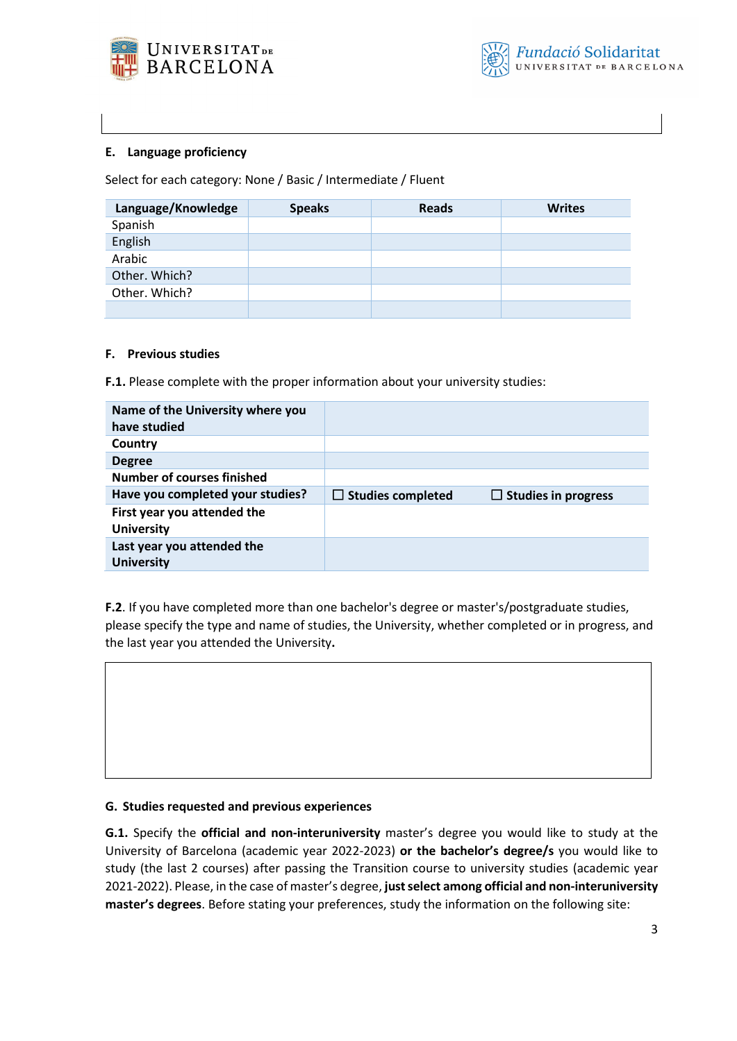

# **E. Language proficiency**

Select for each category: None / Basic / Intermediate / Fluent

| Language/Knowledge | <b>Speaks</b> | <b>Reads</b> | <b>Writes</b> |
|--------------------|---------------|--------------|---------------|
| Spanish            |               |              |               |
| English            |               |              |               |
| Arabic             |               |              |               |
| Other. Which?      |               |              |               |
| Other. Which?      |               |              |               |
|                    |               |              |               |

### **F. Previous studies**

**F.1.** Please complete with the proper information about your university studies:

| Name of the University where you<br>have studied |                          |                            |
|--------------------------------------------------|--------------------------|----------------------------|
| Country                                          |                          |                            |
| <b>Degree</b>                                    |                          |                            |
| <b>Number of courses finished</b>                |                          |                            |
|                                                  |                          |                            |
| Have you completed your studies?                 | $\Box$ Studies completed | $\Box$ Studies in progress |
| First year you attended the<br><b>University</b> |                          |                            |

**F.2**. If you have completed more than one bachelor's degree or master's/postgraduate studies, please specify the type and name of studies, the University, whether completed or in progress, and the last year you attended the University**.**

### **G. Studies requested and previous experiences**

**G.1.** Specify the **official and non-interuniversity** master's degree you would like to study at the University of Barcelona (academic year 2022-2023) **or the bachelor's degree/s** you would like to study (the last 2 courses) after passing the Transition course to university studies (academic year 2021-2022). Please, in the case of master's degree, **just select among official and non-interuniversity master's degrees**. Before stating your preferences, study the information on the following site: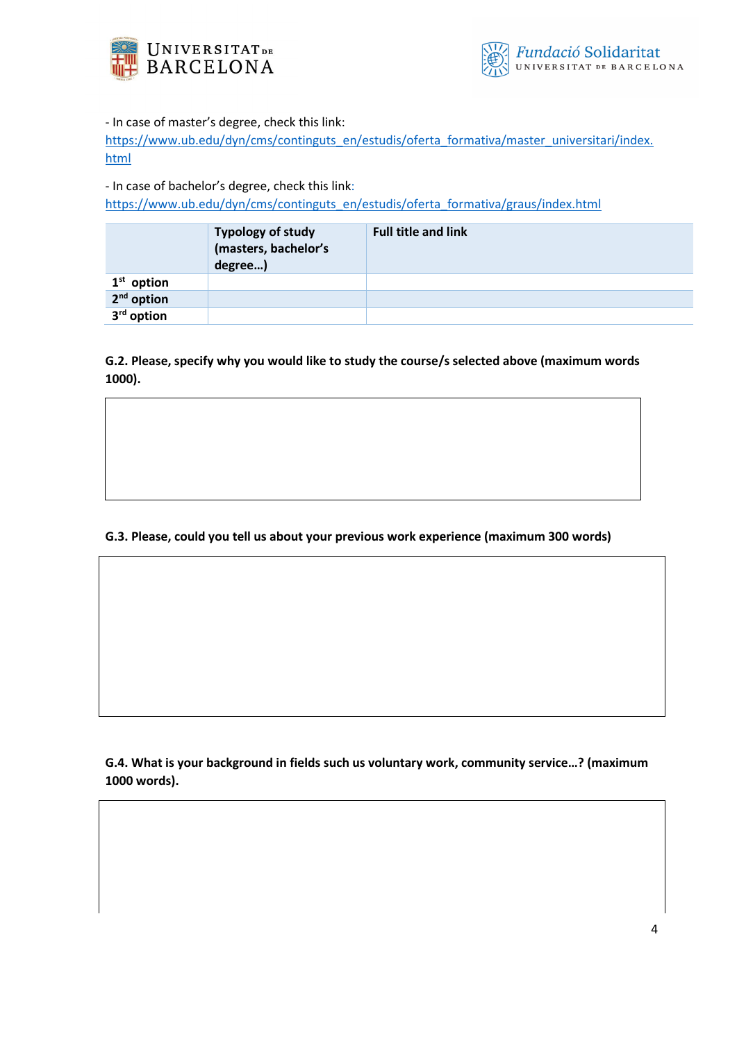



- In case of master's degree, check this link:

[https://www.ub.edu/dyn/cms/continguts\\_en/estudis/oferta\\_formativa/master\\_universitari/index.](https://www.ub.edu/dyn/cms/continguts_en/estudis/oferta_formativa/master_universitari/index.html) [html](https://www.ub.edu/dyn/cms/continguts_en/estudis/oferta_formativa/master_universitari/index.html)

- In case of bachelor's degree, check this link:

[https://www.ub.edu/dyn/cms/continguts\\_en/estudis/oferta\\_formativa/graus/index.html](https://www.ub.edu/dyn/cms/continguts_en/estudis/oferta_formativa/graus/index.html)

|              | <b>Typology of study</b><br>(masters, bachelor's<br>degree) | <b>Full title and link</b> |
|--------------|-------------------------------------------------------------|----------------------------|
| $1st$ option |                                                             |                            |
| $2nd$ option |                                                             |                            |
| $3rd$ option |                                                             |                            |

**G.2. Please, specify why you would like to study the course/s selected above (maximum words 1000).**

# **G.3. Please, could you tell us about your previous work experience (maximum 300 words)**

**G.4. What is your background in fields such us voluntary work, community service…? (maximum 1000 words).**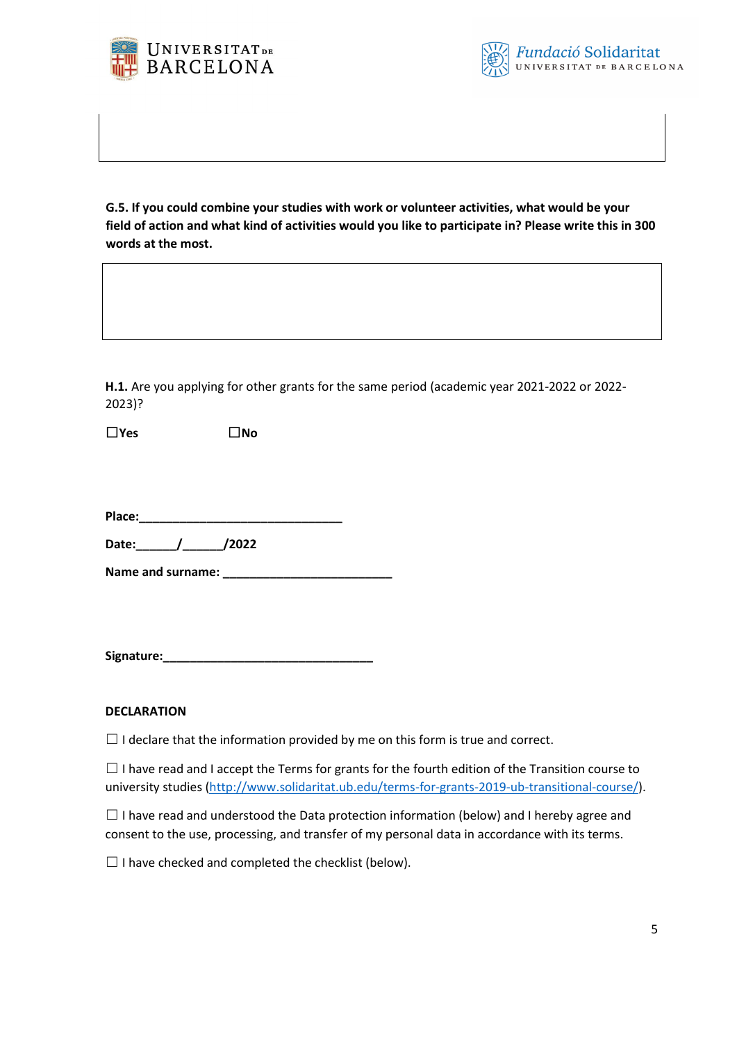



**G.5. If you could combine your studies with work or volunteer activities, what would be your field of action and what kind of activities would you like to participate in? Please write this in 300 words at the most.**

**H.1.** Are you applying for other grants for the same period (academic year 2021-2022 or 2022- 2023)?

☐**Yes** ☐**No**

**Place:\_\_\_\_\_\_\_\_\_\_\_\_\_\_\_\_\_\_\_\_\_\_\_\_\_\_\_\_\_\_**

**Date:\_\_\_\_\_\_/\_\_\_\_\_\_/2022**

**Name and surname: \_\_\_\_\_\_\_\_\_\_\_\_\_\_\_\_\_\_\_\_\_\_\_\_\_**

**Signature:\_\_\_\_\_\_\_\_\_\_\_\_\_\_\_\_\_\_\_\_\_\_\_\_\_\_\_\_\_\_\_** 

### **DECLARATION**

 $\Box$  I declare that the information provided by me on this form is true and correct.

 $\Box$  I have read and I accept the Terms for grants for the fourth edition of the Transition course to university studies [\(http://www.solidaritat.ub.edu/terms-for-grants-2019-ub-transitional-course/\)](http://www.solidaritat.ub.edu/terms-for-grants-2019-ub-transitional-course/).

 $\Box$  I have read and understood the Data protection information (below) and I hereby agree and consent to the use, processing, and transfer of my personal data in accordance with its terms.

 $\Box$  I have checked and completed the checklist (below).